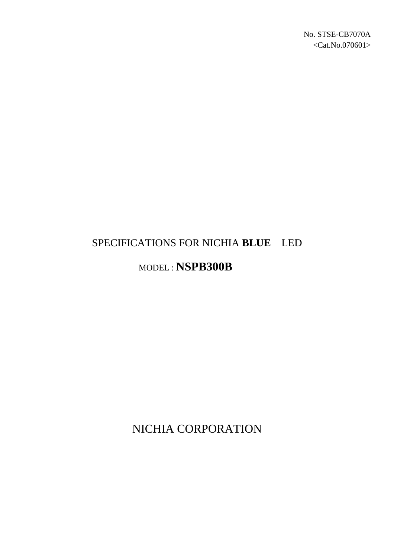# SPECIFICATIONS FOR NICHIA **BLUE** LED

# MODEL : **NSPB300B**

NICHIA CORPORATION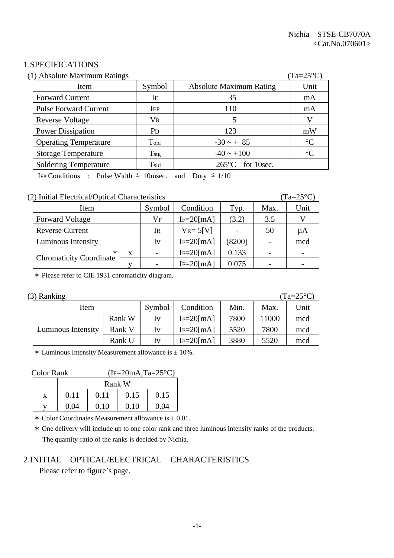## 1.SPECIFICATIONS

| (1) Absolute Maximum Ratings<br>$(Ta=25^{\circ}C)$ |                              |                       |                                |                 |  |
|----------------------------------------------------|------------------------------|-----------------------|--------------------------------|-----------------|--|
|                                                    | Item                         | Symbol                | <b>Absolute Maximum Rating</b> | Unit            |  |
|                                                    | <b>Forward Current</b>       | IF                    | 35                             | mA              |  |
|                                                    | <b>Pulse Forward Current</b> | <b>IFP</b>            | 110                            | mA              |  |
|                                                    | <b>Reverse Voltage</b>       | VR                    |                                | V               |  |
|                                                    | <b>Power Dissipation</b>     | <b>P</b> <sub>D</sub> | 123                            | mW              |  |
|                                                    | <b>Operating Temperature</b> | Topr                  | $-30 - + 85$                   | $\rm ^{\circ}C$ |  |
|                                                    | <b>Storage Temperature</b>   | $T_{\rm stg}$         | $-40 \sim +100$                | $\rm ^{\circ}C$ |  |
|                                                    | <b>Soldering Temperature</b> | $T_{\rm sld}$         | $265^{\circ}$ C for 10sec.     |                 |  |

IFP Conditions : Pulse Width  $\leq$  10msec. and Duty  $\leq$  1/10

#### (2) Initial Electrical/Optical Characteristics (Ta=25°C)

| Item                           |   | Symbol                   | Condition      | Typ.   | Max. | Unit |
|--------------------------------|---|--------------------------|----------------|--------|------|------|
| <b>Forward Voltage</b>         |   | Vf                       | $IF=20$ [mA]   | (3.2)  | 3.5  |      |
| <b>Reverse Current</b>         |   | Ir                       | $V_{R} = 5[V]$ |        | 50   | μA   |
| Luminous Intensity             |   | Iv                       | $IF=20$ [mA]   | (8200) |      | mcd  |
|                                | X | $\overline{\phantom{0}}$ | $IF=20$ [mA]   | 0.133  |      |      |
| <b>Chromaticity Coordinate</b> |   |                          | $IF = 20$ [mA] | 0.075  |      |      |

½ Please refer to CIE 1931 chromaticity diagram.

| (3) Ranking<br>$(Ta=25^{\circ}C)$ |        |                         |                |      |       |      |
|-----------------------------------|--------|-------------------------|----------------|------|-------|------|
| Item                              |        | Symbol                  | Condition      | Min. | Max.  | Unit |
|                                   | Rank W | $\mathbf{I} \mathbf{V}$ | $IF=20$ [mA]   | 7800 | 11000 | mcd  |
| Luminous Intensity                | Rank V | $\mathbf{I} \mathbf{V}$ | $IF=20$ [mA]   | 5520 | 7800  | mcd  |
|                                   | Rank U | $\mathbf{I} \mathbf{V}$ | $IF = 20$ [mA] | 3880 | 5520  | mcd  |

 $*$  Luminous Intensity Measurement allowance is  $\pm$  10%.

#### Color Rank  $(IF=20mA, Ta=25°C)$

| Rank W |      |      |      |  |  |
|--------|------|------|------|--|--|
| 0.11   | 0.11 | 0.15 | 0.15 |  |  |
| 0.04   | 0.10 | 0.10 | 0.04 |  |  |

 $\star$  Color Coordinates Measurement allowance is  $\pm$  0.01.

 ½ One delivery will include up to one color rank and three luminous intensity ranks of the products. The quantity-ratio of the ranks is decided by Nichia.

# 2.INITIAL OPTICAL/ELECTRICAL CHARACTERISTICS

Please refer to figure's page.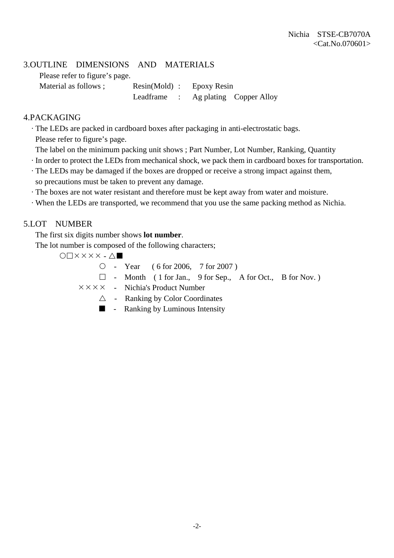# 3.OUTLINE DIMENSIONS AND MATERIALS

Please refer to figure's page.

Material as follows ; Resin(Mold) : Epoxy Resin Leadframe : Ag plating Copper Alloy

## 4.PACKAGING

· The LEDs are packed in cardboard boxes after packaging in anti-electrostatic bags.

Please refer to figure's page.

- The label on the minimum packing unit shows ; Part Number, Lot Number, Ranking, Quantity
- · In order to protect the LEDs from mechanical shock, we pack them in cardboard boxes for transportation.
- · The LEDs may be damaged if the boxes are dropped or receive a strong impact against them, so precautions must be taken to prevent any damage.
- · The boxes are not water resistant and therefore must be kept away from water and moisture.
- · When the LEDs are transported, we recommend that you use the same packing method as Nichia.

# 5.LOT NUMBER

The first six digits number shows **lot number**.

The lot number is composed of the following characters;

 $O\Box$  $X$  $X$  $X$  $X$  $\cdot$  $\Delta$  $\blacksquare$ 

 ${\circ}$  - Year ( 6 for 2006, 7 for 2007)

 $\Box$  - Month ( 1 for Jan., 9 for Sep., A for Oct., B for Nov.)

 $\times \times \times \times$  - Nichia's Product Number

- $\triangle$  Ranking by Color Coordinates
- $\blacksquare$  Ranking by Luminous Intensity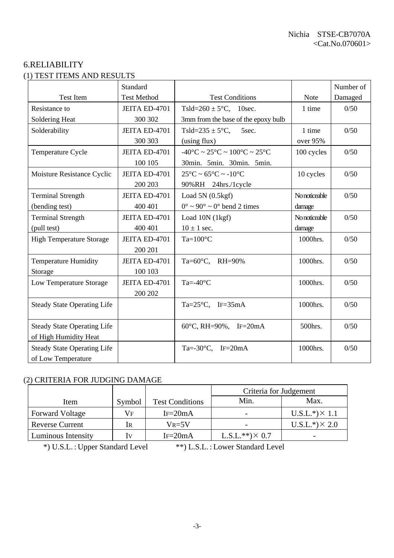# 6.RELIABILITY (1) TEST ITEMS AND RESULTS

|                                    | Standard           |                                                                        |               | Number of |
|------------------------------------|--------------------|------------------------------------------------------------------------|---------------|-----------|
| <b>Test Item</b>                   | <b>Test Method</b> | <b>Test Conditions</b>                                                 | <b>Note</b>   | Damaged   |
| Resistance to                      | JEITA ED-4701      | Tsld= $260 \pm 5^{\circ}$ C, 10sec.                                    | 1 time        | 0/50      |
| Soldering Heat                     | 300 302            | 3mm from the base of the epoxy bulb                                    |               |           |
| Solderability                      | JEITA ED-4701      | Tsld= $235 \pm 5$ °C,<br>5sec.                                         | 1 time        | 0/50      |
|                                    | 300 303            | (using flux)                                                           | over 95%      |           |
| Temperature Cycle                  | JEITA ED-4701      | $-40^{\circ}$ C ~ 25 $^{\circ}$ C ~ 100 $^{\circ}$ C ~ 25 $^{\circ}$ C | 100 cycles    | 0/50      |
|                                    | 100 105            | 30min. 5min. 30min. 5min.                                              |               |           |
| Moisture Resistance Cyclic         | JEITA ED-4701      | $25^{\circ}$ C ~ 65 $^{\circ}$ C ~ -10 $^{\circ}$ C                    | 10 cycles     | 0/50      |
|                                    | 200 203            | 90%RH 24hrs./1cycle                                                    |               |           |
| <b>Terminal Strength</b>           | JEITA ED-4701      | Load $5N(0.5kgf)$                                                      | No noticeable | 0/50      |
| (bending test)                     | 400 401            | $0^{\circ} \sim 90^{\circ} \sim 0^{\circ}$ bend 2 times                | damage        |           |
| <b>Terminal Strength</b>           | JEITA ED-4701      | Load 10N (1kgf)                                                        | No noticeable | 0/50      |
| (pull test)                        | 400 401            | $10 \pm 1$ sec.                                                        | damage        |           |
| <b>High Temperature Storage</b>    | JEITA ED-4701      | $Ta=100^{\circ}C$                                                      | 1000hrs.      | 0/50      |
|                                    | 200 201            |                                                                        |               |           |
| <b>Temperature Humidity</b>        | JEITA ED-4701      | Ta=60°C, RH=90%                                                        | 1000hrs.      | 0/50      |
| Storage                            | 100 103            |                                                                        |               |           |
| Low Temperature Storage            | JEITA ED-4701      | Ta=- $40^{\circ}$ C                                                    | 1000hrs.      | 0/50      |
|                                    | 200 202            |                                                                        |               |           |
| <b>Steady State Operating Life</b> |                    | Ta= $25^{\circ}$ C, IF= $35$ mA                                        | 1000hrs.      | 0/50      |
|                                    |                    |                                                                        |               |           |
| <b>Steady State Operating Life</b> |                    | 60°C, RH=90%, IF=20mA                                                  | 500hrs.       | 0/50      |
| of High Humidity Heat              |                    |                                                                        |               |           |
| <b>Steady State Operating Life</b> |                    | Ta=-30 $\textdegree$ C, IF=20mA                                        | 1000hrs.      | 0/50      |
| of Low Temperature                 |                    |                                                                        |               |           |

# (2) CRITERIA FOR JUDGING DAMAGE

| 2) CNHENIA FON JODOINO DAMAOE |                |                        |                        |                       |  |  |  |
|-------------------------------|----------------|------------------------|------------------------|-----------------------|--|--|--|
|                               |                |                        | Criteria for Judgement |                       |  |  |  |
| Item                          | Symbol         | <b>Test Conditions</b> | Min.                   | Max.                  |  |  |  |
| <b>Forward Voltage</b>        | Vf             | $IF = 20mA$            |                        | $U.S.L.*) \times 1.1$ |  |  |  |
| <b>Reverse Current</b>        | 1 <sub>R</sub> | $V_{R=5}V$             |                        | $U.S.L.*) \times 2.0$ |  |  |  |
| Luminous Intensity            | $_{\rm IV}$    | $IF = 20mA$            | $L.S.L.**)\times 0.7$  |                       |  |  |  |

\*) U.S.L. : Upper Standard Level \*\*) L.S.L. : Lower Standard Level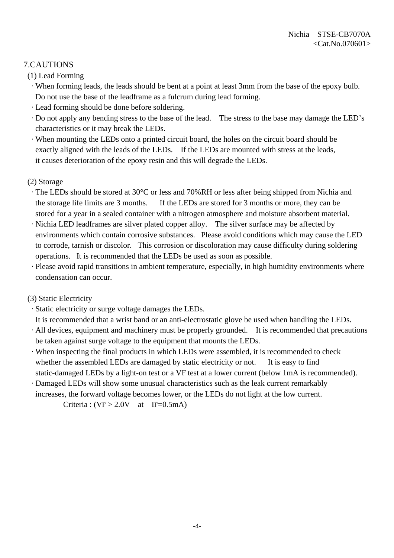# 7.CAUTIONS

(1) Lead Forming

- · When forming leads, the leads should be bent at a point at least 3mm from the base of the epoxy bulb. Do not use the base of the leadframe as a fulcrum during lead forming.
- · Lead forming should be done before soldering.
- · Do not apply any bending stress to the base of the lead. The stress to the base may damage the LED's characteristics or it may break the LEDs.
- · When mounting the LEDs onto a printed circuit board, the holes on the circuit board should be exactly aligned with the leads of the LEDs. If the LEDs are mounted with stress at the leads, it causes deterioration of the epoxy resin and this will degrade the LEDs.

### (2) Storage

- · The LEDs should be stored at 30°C or less and 70%RH or less after being shipped from Nichia and the storage life limits are 3 months. If the LEDs are stored for 3 months or more, they can be stored for a year in a sealed container with a nitrogen atmosphere and moisture absorbent material.
- · Nichia LED leadframes are silver plated copper alloy. The silver surface may be affected by environments which contain corrosive substances. Please avoid conditions which may cause the LED to corrode, tarnish or discolor. This corrosion or discoloration may cause difficulty during soldering operations. It is recommended that the LEDs be used as soon as possible.
- · Please avoid rapid transitions in ambient temperature, especially, in high humidity environments where condensation can occur.

# (3) Static Electricity

· Static electricity or surge voltage damages the LEDs.

It is recommended that a wrist band or an anti-electrostatic glove be used when handling the LEDs.

- · All devices, equipment and machinery must be properly grounded. It is recommended that precautions be taken against surge voltage to the equipment that mounts the LEDs.
- · When inspecting the final products in which LEDs were assembled, it is recommended to check whether the assembled LEDs are damaged by static electricity or not. It is easy to find static-damaged LEDs by a light-on test or a VF test at a lower current (below 1mA is recommended).
- · Damaged LEDs will show some unusual characteristics such as the leak current remarkably increases, the forward voltage becomes lower, or the LEDs do not light at the low current.

Criteria :  $(VF > 2.0V$  at IF=0.5mA)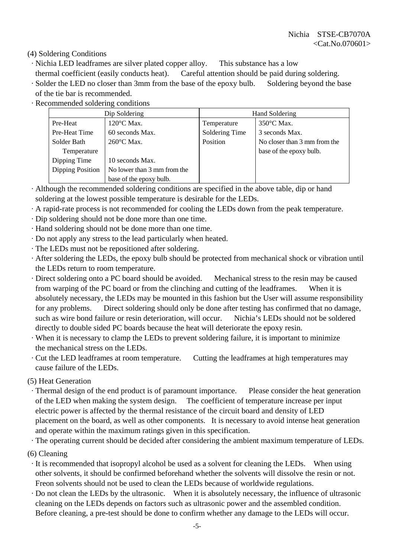(4) Soldering Conditions

- · Nichia LED leadframes are silver plated copper alloy. This substance has a low
- thermal coefficient (easily conducts heat). Careful attention should be paid during soldering.
- · Solder the LED no closer than 3mm from the base of the epoxy bulb. Soldering beyond the base of the tie bar is recommended.
- · Recommended soldering conditions

| Dip Soldering                       |                             | Hand Soldering |                              |  |
|-------------------------------------|-----------------------------|----------------|------------------------------|--|
| Pre-Heat                            | $120^{\circ}$ C Max.        | Temperature    | $350^{\circ}$ C Max.         |  |
| Pre-Heat Time                       | 60 seconds Max.             | Soldering Time | 3 seconds Max.               |  |
| $260^{\circ}$ C Max.<br>Solder Bath |                             | Position       | No closer than 3 mm from the |  |
| Temperature                         |                             |                | base of the epoxy bulb.      |  |
| Dipping Time                        | 10 seconds Max.             |                |                              |  |
| <b>Dipping Position</b>             | No lower than 3 mm from the |                |                              |  |
|                                     | base of the epoxy bulb.     |                |                              |  |

- · Although the recommended soldering conditions are specified in the above table, dip or hand soldering at the lowest possible temperature is desirable for the LEDs.
- · A rapid-rate process is not recommended for cooling the LEDs down from the peak temperature.
- · Dip soldering should not be done more than one time.
- · Hand soldering should not be done more than one time.
- · Do not apply any stress to the lead particularly when heated.
- · The LEDs must not be repositioned after soldering.
- · After soldering the LEDs, the epoxy bulb should be protected from mechanical shock or vibration until the LEDs return to room temperature.
- · Direct soldering onto a PC board should be avoided. Mechanical stress to the resin may be caused from warping of the PC board or from the clinching and cutting of the leadframes. When it is absolutely necessary, the LEDs may be mounted in this fashion but the User will assume responsibility for any problems. Direct soldering should only be done after testing has confirmed that no damage, such as wire bond failure or resin deterioration, will occur. Nichia's LEDs should not be soldered directly to double sided PC boards because the heat will deteriorate the epoxy resin.
- · When it is necessary to clamp the LEDs to prevent soldering failure, it is important to minimize the mechanical stress on the LEDs.
- · Cut the LED leadframes at room temperature. Cutting the leadframes at high temperatures may cause failure of the LEDs.

(5) Heat Generation

 · Thermal design of the end product is of paramount importance. Please consider the heat generation of the LED when making the system design. The coefficient of temperature increase per input electric power is affected by the thermal resistance of the circuit board and density of LED placement on the board, as well as other components. It is necessary to avoid intense heat generation and operate within the maximum ratings given in this specification.

· The operating current should be decided after considering the ambient maximum temperature of LEDs.

(6) Cleaning

- · It is recommended that isopropyl alcohol be used as a solvent for cleaning the LEDs. When using other solvents, it should be confirmed beforehand whether the solvents will dissolve the resin or not. Freon solvents should not be used to clean the LEDs because of worldwide regulations.
- · Do not clean the LEDs by the ultrasonic. When it is absolutely necessary, the influence of ultrasonic cleaning on the LEDs depends on factors such as ultrasonic power and the assembled condition. Before cleaning, a pre-test should be done to confirm whether any damage to the LEDs will occur.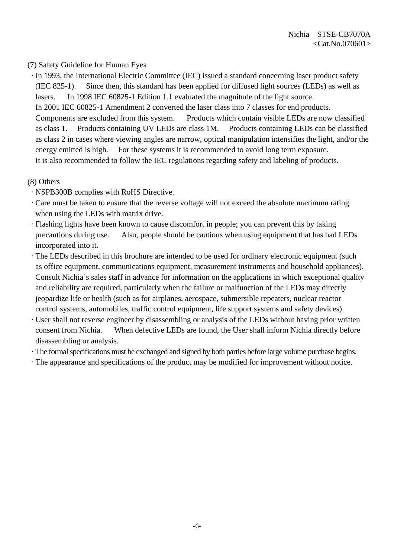## (7) Safety Guideline for Human Eyes

 · In 1993, the International Electric Committee (IEC) issued a standard concerning laser product safety (IEC 825-1). Since then, this standard has been applied for diffused light sources (LEDs) as well as lasers. In 1998 IEC 60825-1 Edition 1.1 evaluated the magnitude of the light source. In 2001 IEC 60825-1 Amendment 2 converted the laser class into 7 classes for end products. Components are excluded from this system. Products which contain visible LEDs are now classified as class 1. Products containing UV LEDs are class 1M. Products containing LEDs can be classified as class 2 in cases where viewing angles are narrow, optical manipulation intensifies the light, and/or the energy emitted is high. For these systems it is recommended to avoid long term exposure. It is also recommended to follow the IEC regulations regarding safety and labeling of products.

### (8) Others

- · NSPB300B complies with RoHS Directive.
- · Care must be taken to ensure that the reverse voltage will not exceed the absolute maximum rating when using the LEDs with matrix drive.
- · Flashing lights have been known to cause discomfort in people; you can prevent this by taking precautions during use. Also, people should be cautious when using equipment that has had LEDs incorporated into it.
- · The LEDs described in this brochure are intended to be used for ordinary electronic equipment (such as office equipment, communications equipment, measurement instruments and household appliances). Consult Nichia's sales staff in advance for information on the applications in which exceptional quality and reliability are required, particularly when the failure or malfunction of the LEDs may directly jeopardize life or health (such as for airplanes, aerospace, submersible repeaters, nuclear reactor control systems, automobiles, traffic control equipment, life support systems and safety devices).
- · User shall not reverse engineer by disassembling or analysis of the LEDs without having prior written consent from Nichia. When defective LEDs are found, the User shall inform Nichia directly before disassembling or analysis.
- · The formal specifications must be exchanged and signed by both parties before large volume purchase begins.
- · The appearance and specifications of the product may be modified for improvement without notice.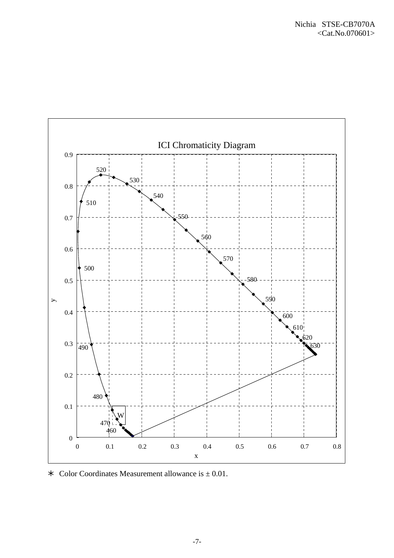

 $\ast$  Color Coordinates Measurement allowance is  $\pm$  0.01.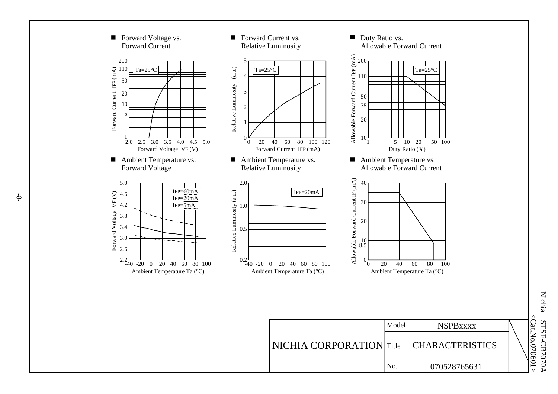

Nichia  $\leq$ Cat.No.070601 <Cat.No.070601> STSE-CB7070A STSE-CB7070A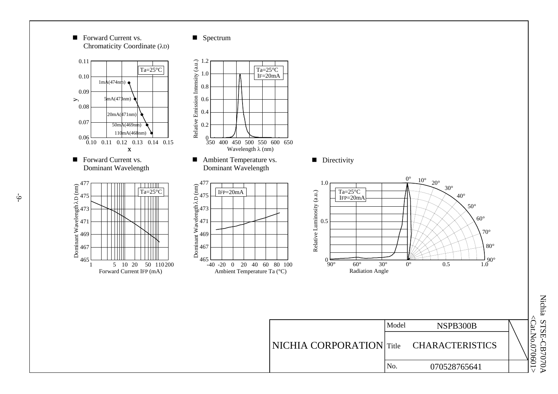■ Forward Current vs. ■ Chromaticity Coordinate (λD)

#### ■ Spectrum



 $\leq$ Cat.No.070601 Nichia STSE-CB7070A Nichia STSE-CB7070A <Cat.No.070601>

No. 070528765641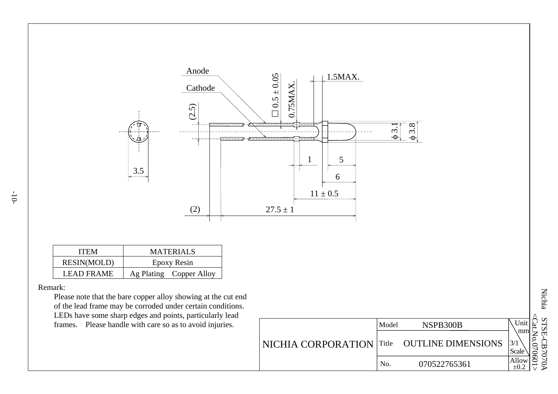

| <b>ITEM</b>        | <b>MATERIALS</b>        |
|--------------------|-------------------------|
| <b>RESIN(MOLD)</b> | Epoxy Resin             |
| LEAD FRAME         | Ag Plating Copper Alloy |

#### Remark:

 Please note that the bare copper alloy showing at the cut end of the lead frame may be corroded under certain conditions. LEDs have some sharp edges and points, particularly lead frames. Please handle with care so as to avoid injuries.

|                           | Model | NSPB300B                  | Unit<br>g              |
|---------------------------|-------|---------------------------|------------------------|
| <b>NICHIA CORPORATION</b> | Title | <b>OUTLINE DIMENSIONS</b> | .mm<br>3/1<br>Scale    |
|                           | No.   | 070522765361              | g<br>Allow<br>$\pm 0.$ |

Nichia STSE-CB7070A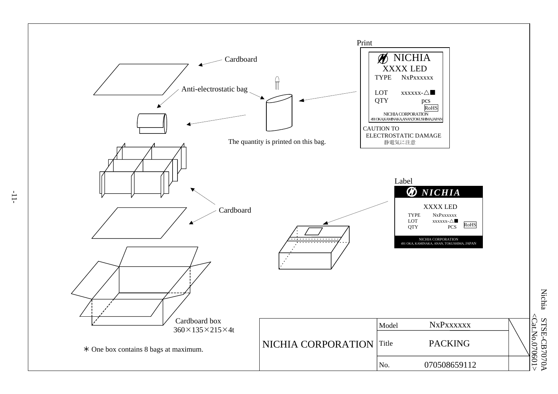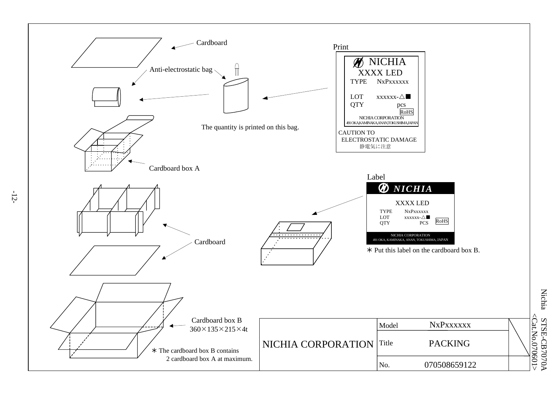

**Nichia** Nichia STSE-CB7070A STSE-CB7070A<br><Cat.No.070<u>601></u> <Cat.No.070601

-12-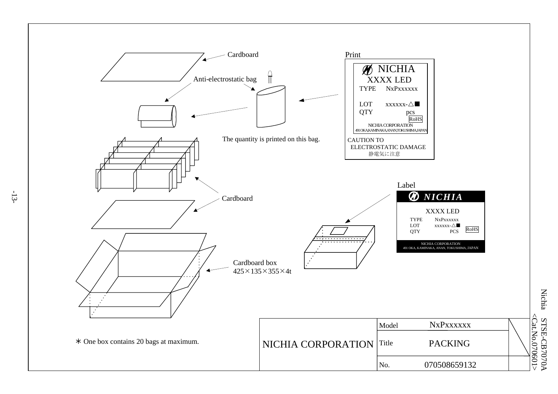

**Nichia** Nichia STSE-CB7070A STSE-CB7070A<br><Cat.No.070<u>601></u> <Cat.No.070601